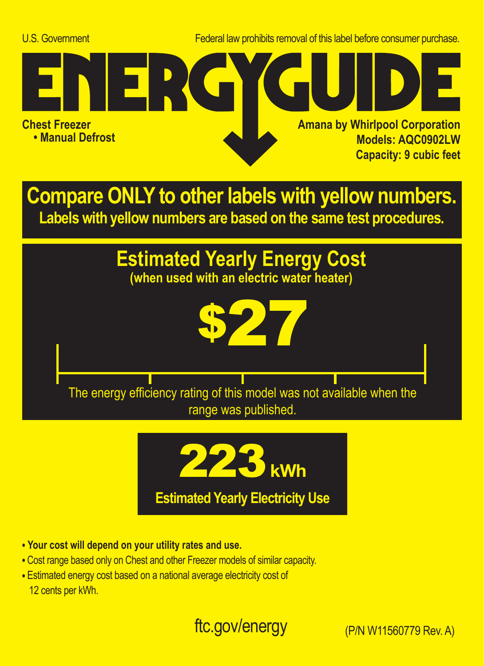U.S. Government Federal law prohibits removal of this label before consumer purchase.



**Compare ONLY to other labels with yellow numbers. Labels with yellow numbers are based on the same test procedures.**

## **Estimated Yearly Energy Cost**

**(when used with an electric water heater)**

\$27 The energy efficiency rating of this model was not available when the range was published.



**• Your cost will depend on your utility rates and use.**

- **•** Cost range based only on Chest and other Freezer models of similar capacity.
- **•** Estimated energy cost based on a national average electricity cost of 12 cents per kWh.